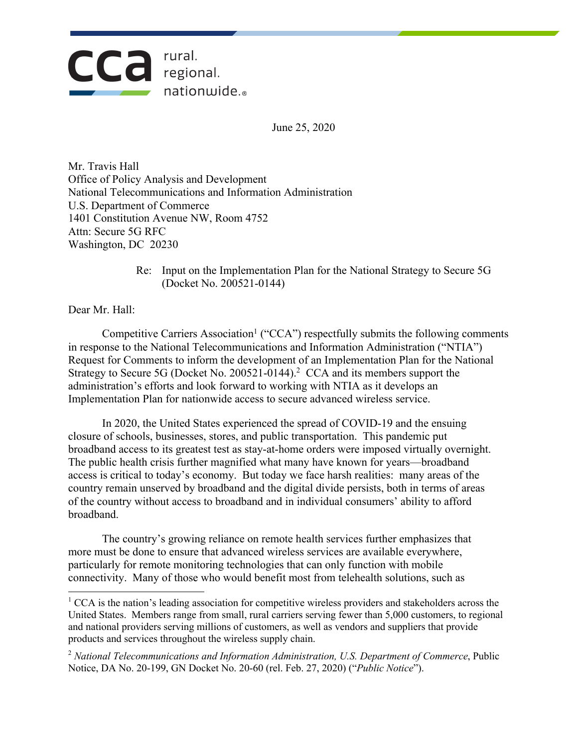

June 25, 2020

Mr. Travis Hall Office of Policy Analysis and Development National Telecommunications and Information Administration U.S. Department of Commerce 1401 Constitution Avenue NW, Room 4752 Attn: Secure 5G RFC Washington, DC 20230

> Re: Input on the Implementation Plan for the National Strategy to Secure 5G (Docket No. 200521-0144)

Dear Mr. Hall:

Competitive Carriers Association<sup>1</sup> ("CCA") respectfully submits the following comments in response to the National Telecommunications and Information Administration ("NTIA") Request for Comments to inform the development of an Implementation Plan for the National Strategy to Secure 5G (Docket No. 200521-0144). <sup>2</sup> CCA and its members support the administration's efforts and look forward to working with NTIA as it develops an Implementation Plan for nationwide access to secure advanced wireless service.

In 2020, the United States experienced the spread of COVID-19 and the ensuing closure of schools, businesses, stores, and public transportation. This pandemic put broadband access to its greatest test as stay-at-home orders were imposed virtually overnight. The public health crisis further magnified what many have known for years—broadband access is critical to today's economy. But today we face harsh realities: many areas of the country remain unserved by broadband and the digital divide persists, both in terms of areas of the country without access to broadband and in individual consumers' ability to afford broadband.

The country's growing reliance on remote health services further emphasizes that more must be done to ensure that advanced wireless services are available everywhere, particularly for remote monitoring technologies that can only function with mobile connectivity. Many of those who would benefit most from telehealth solutions, such as

 $1$  CCA is the nation's leading association for competitive wireless providers and stakeholders across the United States. Members range from small, rural carriers serving fewer than 5,000 customers, to regional and national providers serving millions of customers, as well as vendors and suppliers that provide products and services throughout the wireless supply chain.

<sup>2</sup> *National Telecommunications and Information Administration, U.S. Department of Commerce*, Public Notice, DA No. 20-199, GN Docket No. 20-60 (rel. Feb. 27, 2020) ("*Public Notice*").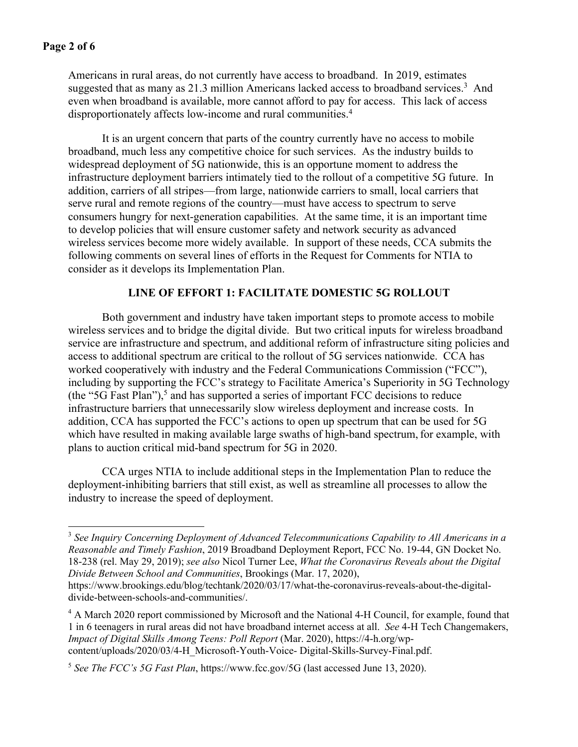Americans in rural areas, do not currently have access to broadband. In 2019, estimates suggested that as many as 21.3 million Americans lacked access to broadband services.3 And even when broadband is available, more cannot afford to pay for access. This lack of access disproportionately affects low-income and rural communities. 4

It is an urgent concern that parts of the country currently have no access to mobile broadband, much less any competitive choice for such services. As the industry builds to widespread deployment of 5G nationwide, this is an opportune moment to address the infrastructure deployment barriers intimately tied to the rollout of a competitive 5G future. In addition, carriers of all stripes—from large, nationwide carriers to small, local carriers that serve rural and remote regions of the country—must have access to spectrum to serve consumers hungry for next-generation capabilities. At the same time, it is an important time to develop policies that will ensure customer safety and network security as advanced wireless services become more widely available. In support of these needs, CCA submits the following comments on several lines of efforts in the Request for Comments for NTIA to consider as it develops its Implementation Plan.

# **LINE OF EFFORT 1: FACILITATE DOMESTIC 5G ROLLOUT**

Both government and industry have taken important steps to promote access to mobile wireless services and to bridge the digital divide. But two critical inputs for wireless broadband service are infrastructure and spectrum, and additional reform of infrastructure siting policies and access to additional spectrum are critical to the rollout of 5G services nationwide. CCA has worked cooperatively with industry and the Federal Communications Commission ("FCC"), including by supporting the FCC's strategy to Facilitate America's Superiority in 5G Technology (the "5G Fast Plan"),<sup>5</sup> and has supported a series of important FCC decisions to reduce infrastructure barriers that unnecessarily slow wireless deployment and increase costs. In addition, CCA has supported the FCC's actions to open up spectrum that can be used for 5G which have resulted in making available large swaths of high-band spectrum, for example, with plans to auction critical mid-band spectrum for 5G in 2020.

CCA urges NTIA to include additional steps in the Implementation Plan to reduce the deployment-inhibiting barriers that still exist, as well as streamline all processes to allow the industry to increase the speed of deployment.

<sup>3</sup> *See Inquiry Concerning Deployment of Advanced Telecommunications Capability to All Americans in a Reasonable and Timely Fashion*, 2019 Broadband Deployment Report, FCC No. 19-44, GN Docket No. 18-238 (rel. May 29, 2019); *see also* Nicol Turner Lee, *What the Coronavirus Reveals about the Digital Divide Between School and Communities*, Brookings (Mar. 17, 2020),

https://www.brookings.edu/blog/techtank/2020/03/17/what-the-coronavirus-reveals-about-the-digitaldivide-between-schools-and-communities/.

<sup>&</sup>lt;sup>4</sup> A March 2020 report commissioned by Microsoft and the National 4-H Council, for example, found that 1 in 6 teenagers in rural areas did not have broadband internet access at all. *See* 4-H Tech Changemakers, *Impact of Digital Skills Among Teens: Poll Report* (Mar. 2020), https://4-h.org/wpcontent/uploads/2020/03/4-H\_Microsoft-Youth-Voice- Digital-Skills-Survey-Final.pdf.

<sup>5</sup> *See The FCC's 5G Fast Plan*, https://www.fcc.gov/5G (last accessed June 13, 2020).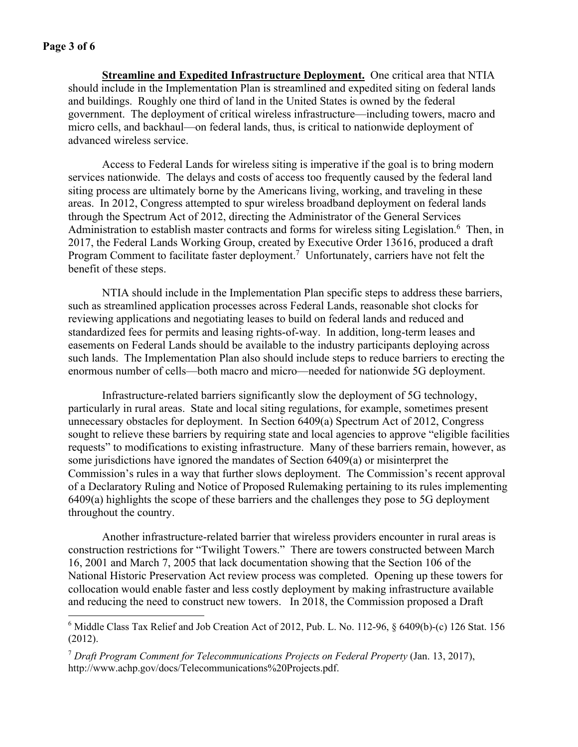**Streamline and Expedited Infrastructure Deployment.** One critical area that NTIA should include in the Implementation Plan is streamlined and expedited siting on federal lands and buildings. Roughly one third of land in the United States is owned by the federal government. The deployment of critical wireless infrastructure—including towers, macro and micro cells, and backhaul—on federal lands, thus, is critical to nationwide deployment of advanced wireless service.

Access to Federal Lands for wireless siting is imperative if the goal is to bring modern services nationwide. The delays and costs of access too frequently caused by the federal land siting process are ultimately borne by the Americans living, working, and traveling in these areas. In 2012, Congress attempted to spur wireless broadband deployment on federal lands through the Spectrum Act of 2012, directing the Administrator of the General Services Administration to establish master contracts and forms for wireless siting Legislation.<sup>6</sup> Then, in 2017, the Federal Lands Working Group, created by Executive Order 13616, produced a draft Program Comment to facilitate faster deployment.<sup>7</sup> Unfortunately, carriers have not felt the benefit of these steps.

NTIA should include in the Implementation Plan specific steps to address these barriers, such as streamlined application processes across Federal Lands, reasonable shot clocks for reviewing applications and negotiating leases to build on federal lands and reduced and standardized fees for permits and leasing rights-of-way. In addition, long-term leases and easements on Federal Lands should be available to the industry participants deploying across such lands. The Implementation Plan also should include steps to reduce barriers to erecting the enormous number of cells—both macro and micro—needed for nationwide 5G deployment.

Infrastructure-related barriers significantly slow the deployment of 5G technology, particularly in rural areas. State and local siting regulations, for example, sometimes present unnecessary obstacles for deployment. In Section 6409(a) Spectrum Act of 2012, Congress sought to relieve these barriers by requiring state and local agencies to approve "eligible facilities requests" to modifications to existing infrastructure. Many of these barriers remain, however, as some jurisdictions have ignored the mandates of Section 6409(a) or misinterpret the Commission's rules in a way that further slows deployment. The Commission's recent approval of a Declaratory Ruling and Notice of Proposed Rulemaking pertaining to its rules implementing 6409(a) highlights the scope of these barriers and the challenges they pose to 5G deployment throughout the country.

Another infrastructure-related barrier that wireless providers encounter in rural areas is construction restrictions for "Twilight Towers." There are towers constructed between March 16, 2001 and March 7, 2005 that lack documentation showing that the Section 106 of the National Historic Preservation Act review process was completed. Opening up these towers for collocation would enable faster and less costly deployment by making infrastructure available and reducing the need to construct new towers. In 2018, the Commission proposed a Draft

<sup>&</sup>lt;sup>6</sup> Middle Class Tax Relief and Job Creation Act of 2012, Pub. L. No. 112-96, § 6409(b)-(c) 126 Stat. 156 (2012).

<sup>7</sup> *Draft Program Comment for Telecommunications Projects on Federal Property* (Jan. 13, 2017), http://www.achp.gov/docs/Telecommunications%20Projects.pdf.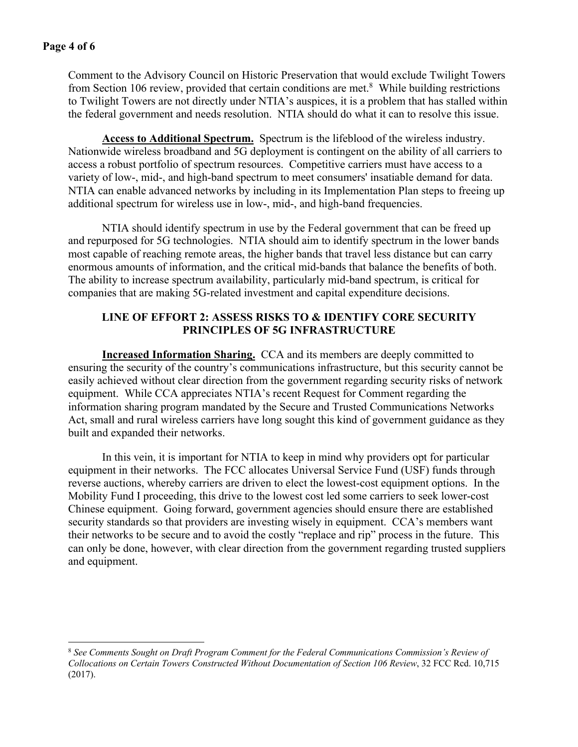Comment to the Advisory Council on Historic Preservation that would exclude Twilight Towers from Section 106 review, provided that certain conditions are met.<sup>8</sup> While building restrictions to Twilight Towers are not directly under NTIA's auspices, it is a problem that has stalled within the federal government and needs resolution. NTIA should do what it can to resolve this issue.

**Access to Additional Spectrum.** Spectrum is the lifeblood of the wireless industry. Nationwide wireless broadband and 5G deployment is contingent on the ability of all carriers to access a robust portfolio of spectrum resources. Competitive carriers must have access to a variety of low-, mid-, and high-band spectrum to meet consumers' insatiable demand for data. NTIA can enable advanced networks by including in its Implementation Plan steps to freeing up additional spectrum for wireless use in low-, mid-, and high-band frequencies.

NTIA should identify spectrum in use by the Federal government that can be freed up and repurposed for 5G technologies. NTIA should aim to identify spectrum in the lower bands most capable of reaching remote areas, the higher bands that travel less distance but can carry enormous amounts of information, and the critical mid-bands that balance the benefits of both. The ability to increase spectrum availability, particularly mid-band spectrum, is critical for companies that are making 5G-related investment and capital expenditure decisions.

# **LINE OF EFFORT 2: ASSESS RISKS TO & IDENTIFY CORE SECURITY PRINCIPLES OF 5G INFRASTRUCTURE**

**Increased Information Sharing.** CCA and its members are deeply committed to ensuring the security of the country's communications infrastructure, but this security cannot be easily achieved without clear direction from the government regarding security risks of network equipment. While CCA appreciates NTIA's recent Request for Comment regarding the information sharing program mandated by the Secure and Trusted Communications Networks Act, small and rural wireless carriers have long sought this kind of government guidance as they built and expanded their networks.

In this vein, it is important for NTIA to keep in mind why providers opt for particular equipment in their networks. The FCC allocates Universal Service Fund (USF) funds through reverse auctions, whereby carriers are driven to elect the lowest-cost equipment options. In the Mobility Fund I proceeding, this drive to the lowest cost led some carriers to seek lower-cost Chinese equipment. Going forward, government agencies should ensure there are established security standards so that providers are investing wisely in equipment. CCA's members want their networks to be secure and to avoid the costly "replace and rip" process in the future. This can only be done, however, with clear direction from the government regarding trusted suppliers and equipment.

<sup>8</sup> *See Comments Sought on Draft Program Comment for the Federal Communications Commission's Review of Collocations on Certain Towers Constructed Without Documentation of Section 106 Review*, 32 FCC Rcd. 10,715 (2017).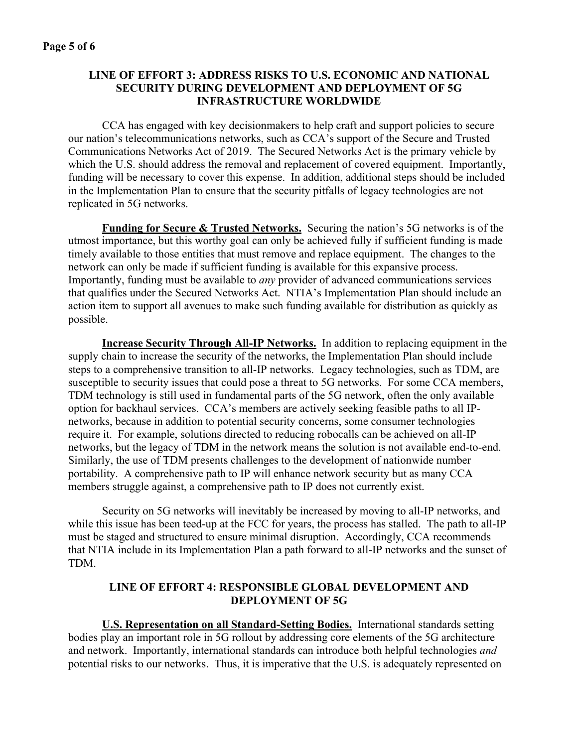# **LINE OF EFFORT 3: ADDRESS RISKS TO U.S. ECONOMIC AND NATIONAL SECURITY DURING DEVELOPMENT AND DEPLOYMENT OF 5G INFRASTRUCTURE WORLDWIDE**

CCA has engaged with key decisionmakers to help craft and support policies to secure our nation's telecommunications networks, such as CCA's support of the Secure and Trusted Communications Networks Act of 2019. The Secured Networks Act is the primary vehicle by which the U.S. should address the removal and replacement of covered equipment. Importantly, funding will be necessary to cover this expense. In addition, additional steps should be included in the Implementation Plan to ensure that the security pitfalls of legacy technologies are not replicated in 5G networks.

**Funding for Secure & Trusted Networks.** Securing the nation's 5G networks is of the utmost importance, but this worthy goal can only be achieved fully if sufficient funding is made timely available to those entities that must remove and replace equipment. The changes to the network can only be made if sufficient funding is available for this expansive process. Importantly, funding must be available to *any* provider of advanced communications services that qualifies under the Secured Networks Act. NTIA's Implementation Plan should include an action item to support all avenues to make such funding available for distribution as quickly as possible.

**Increase Security Through All-IP Networks.** In addition to replacing equipment in the supply chain to increase the security of the networks, the Implementation Plan should include steps to a comprehensive transition to all-IP networks. Legacy technologies, such as TDM, are susceptible to security issues that could pose a threat to 5G networks. For some CCA members, TDM technology is still used in fundamental parts of the 5G network, often the only available option for backhaul services. CCA's members are actively seeking feasible paths to all IPnetworks, because in addition to potential security concerns, some consumer technologies require it. For example, solutions directed to reducing robocalls can be achieved on all-IP networks, but the legacy of TDM in the network means the solution is not available end-to-end. Similarly, the use of TDM presents challenges to the development of nationwide number portability. A comprehensive path to IP will enhance network security but as many CCA members struggle against, a comprehensive path to IP does not currently exist.

Security on 5G networks will inevitably be increased by moving to all-IP networks, and while this issue has been teed-up at the FCC for years, the process has stalled. The path to all-IP must be staged and structured to ensure minimal disruption. Accordingly, CCA recommends that NTIA include in its Implementation Plan a path forward to all-IP networks and the sunset of TDM.

# **LINE OF EFFORT 4: RESPONSIBLE GLOBAL DEVELOPMENT AND DEPLOYMENT OF 5G**

**U.S. Representation on all Standard-Setting Bodies.** International standards setting bodies play an important role in 5G rollout by addressing core elements of the 5G architecture and network. Importantly, international standards can introduce both helpful technologies *and*  potential risks to our networks. Thus, it is imperative that the U.S. is adequately represented on